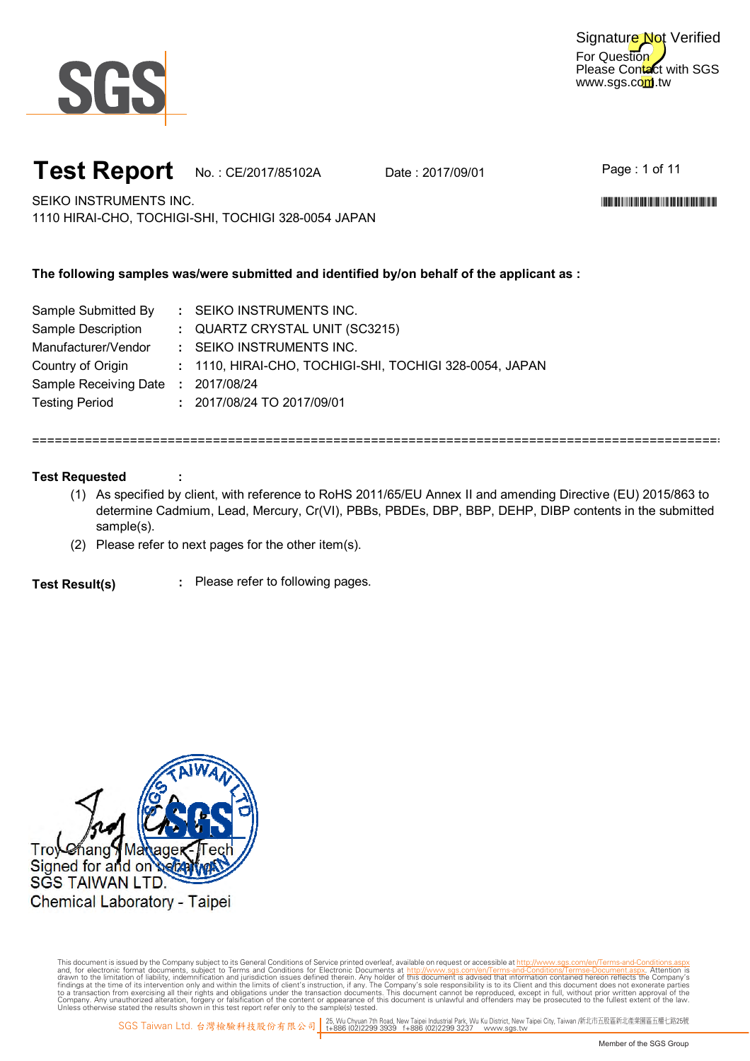

For Question Please Contact with SGS www.sgs.com.tw Signature Not Verified

## **Test Report** No.: CE/2017/85102A Date: 2017/09/01

Page : 1 of 11

\*CE/2017/85102A\*CE/2017/85102A\*CE/2017/85102A\*CE/2017

SEIKO INSTRUMENTS INC. 1110 HIRAI-CHO, TOCHIGI-SHI, TOCHIGI 328-0054 JAPAN

## **The following samples was/were submitted and identified by/on behalf of the applicant as :**

| : SEIKO INSTRUMENTS INC.                                |
|---------------------------------------------------------|
| : QUARTZ CRYSTAL UNIT (SC3215)                          |
| : SEIKO INSTRUMENTS INC.                                |
| : 1110, HIRAI-CHO, TOCHIGI-SHI, TOCHIGI 328-0054, JAPAN |
| : 2017/08/24                                            |
| : 2017/08/24 TO 2017/09/01                              |
|                                                         |

## **Test Requested**

(1) As specified by client, with reference to RoHS 2011/65/EU Annex II and amending Directive (EU) 2015/863 to determine Cadmium, Lead, Mercury, Cr(VI), PBBs, PBDEs, DBP, BBP, DEHP, DIBP contents in the submitted sample(s).

============================================================================================

(2) Please refer to next pages for the other item(s).

**:** Please refer to following pages. **Test Result(s)**

**:**

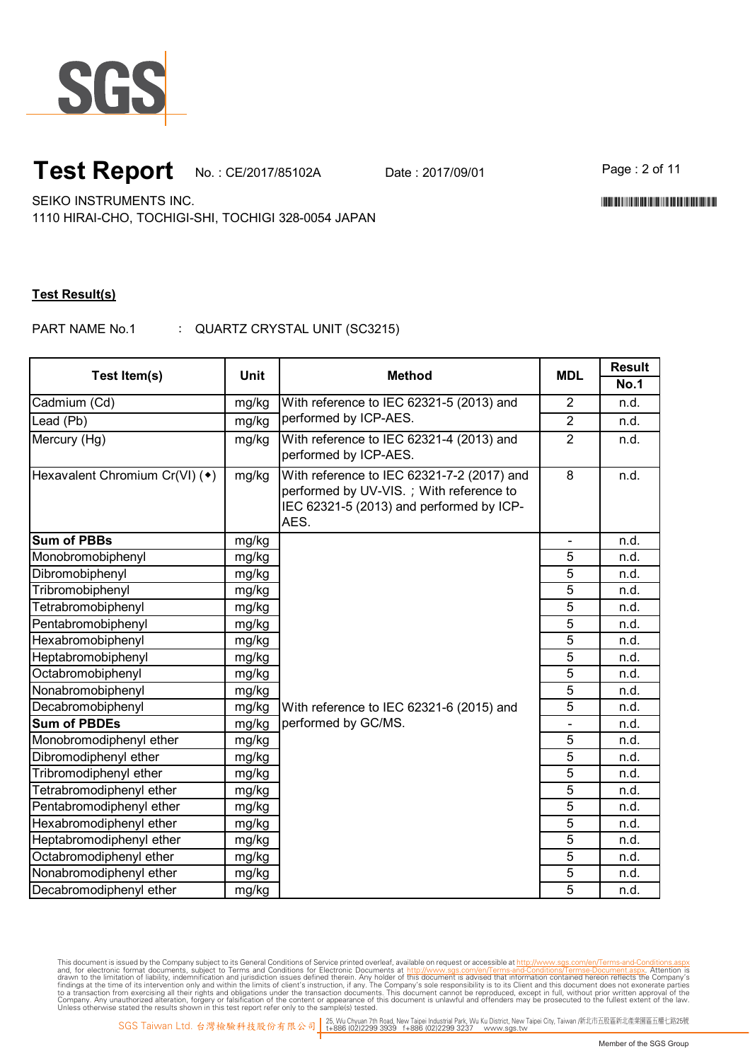

## **Test Report** No.: CE/2017/85102A Date: 2017/09/01 Page: 2 of 11

\*CE/2017/85102A\*CE/2017/85102A\*CE/2017/85102A\*CE/2017

SEIKO INSTRUMENTS INC.

1110 HIRAI-CHO, TOCHIGI-SHI, TOCHIGI 328-0054 JAPAN

### **Test Result(s)**

: PART NAME No.1 QUARTZ CRYSTAL UNIT (SC3215)

| Test Item(s)                   | <b>Unit</b> | <b>Method</b>                                                                                                                             | <b>MDL</b>     | <b>Result</b> |
|--------------------------------|-------------|-------------------------------------------------------------------------------------------------------------------------------------------|----------------|---------------|
|                                |             |                                                                                                                                           |                | <b>No.1</b>   |
| Cadmium (Cd)                   | mg/kg       | With reference to IEC 62321-5 (2013) and<br>performed by ICP-AES.                                                                         | $\overline{2}$ | n.d.          |
| Lead (Pb)                      | mg/kg       |                                                                                                                                           | $\overline{2}$ | n.d.          |
| Mercury (Hg)                   | mg/kg       | With reference to IEC 62321-4 (2013) and<br>performed by ICP-AES.                                                                         | $\overline{2}$ | n.d.          |
| Hexavalent Chromium Cr(VI) (*) | mg/kg       | With reference to IEC 62321-7-2 (2017) and<br>performed by UV-VIS.; With reference to<br>IEC 62321-5 (2013) and performed by ICP-<br>AES. | $\overline{8}$ | n.d.          |
| <b>Sum of PBBs</b>             | mg/kg       |                                                                                                                                           |                | n.d.          |
| Monobromobiphenyl              | mg/kg       |                                                                                                                                           | 5              | n.d.          |
| Dibromobiphenyl                | mg/kg       |                                                                                                                                           | 5              | n.d.          |
| Tribromobiphenyl               | mg/kg       |                                                                                                                                           | $\overline{5}$ | n.d.          |
| Tetrabromobiphenyl             | mg/kg       |                                                                                                                                           | $\overline{5}$ | n.d.          |
| Pentabromobiphenyl             | mg/kg       |                                                                                                                                           | $\overline{5}$ | n.d.          |
| Hexabromobiphenyl              | mg/kg       |                                                                                                                                           | 5              | n.d.          |
| Heptabromobiphenyl             | mg/kg       |                                                                                                                                           | 5              | n.d.          |
| Octabromobiphenyl              | mg/kg       |                                                                                                                                           | $\overline{5}$ | n.d.          |
| Nonabromobiphenyl              | mg/kg       |                                                                                                                                           | 5              | n.d.          |
| Decabromobiphenyl              | mg/kg       | With reference to IEC 62321-6 (2015) and                                                                                                  | 5              | n.d.          |
| <b>Sum of PBDEs</b>            | mg/kg       | performed by GC/MS.                                                                                                                       | $\blacksquare$ | n.d.          |
| Monobromodiphenyl ether        | mg/kg       |                                                                                                                                           | 5              | n.d.          |
| Dibromodiphenyl ether          | mg/kg       |                                                                                                                                           | $\overline{5}$ | n.d.          |
| Tribromodiphenyl ether         | mg/kg       |                                                                                                                                           | 5              | n.d.          |
| Tetrabromodiphenyl ether       | mg/kg       |                                                                                                                                           | $\overline{5}$ | n.d.          |
| Pentabromodiphenyl ether       | mg/kg       |                                                                                                                                           | 5              | n.d.          |
| Hexabromodiphenyl ether        | mg/kg       |                                                                                                                                           | $\overline{5}$ | n.d.          |
| Heptabromodiphenyl ether       | mg/kg       |                                                                                                                                           | $\overline{5}$ | n.d.          |
| Octabromodiphenyl ether        | mg/kg       |                                                                                                                                           | $\overline{5}$ | n.d.          |
| Nonabromodiphenyl ether        | mg/kg       |                                                                                                                                           | 5              | n.d.          |
| Decabromodiphenyl ether        | mg/kg       |                                                                                                                                           | $\overline{5}$ | n.d.          |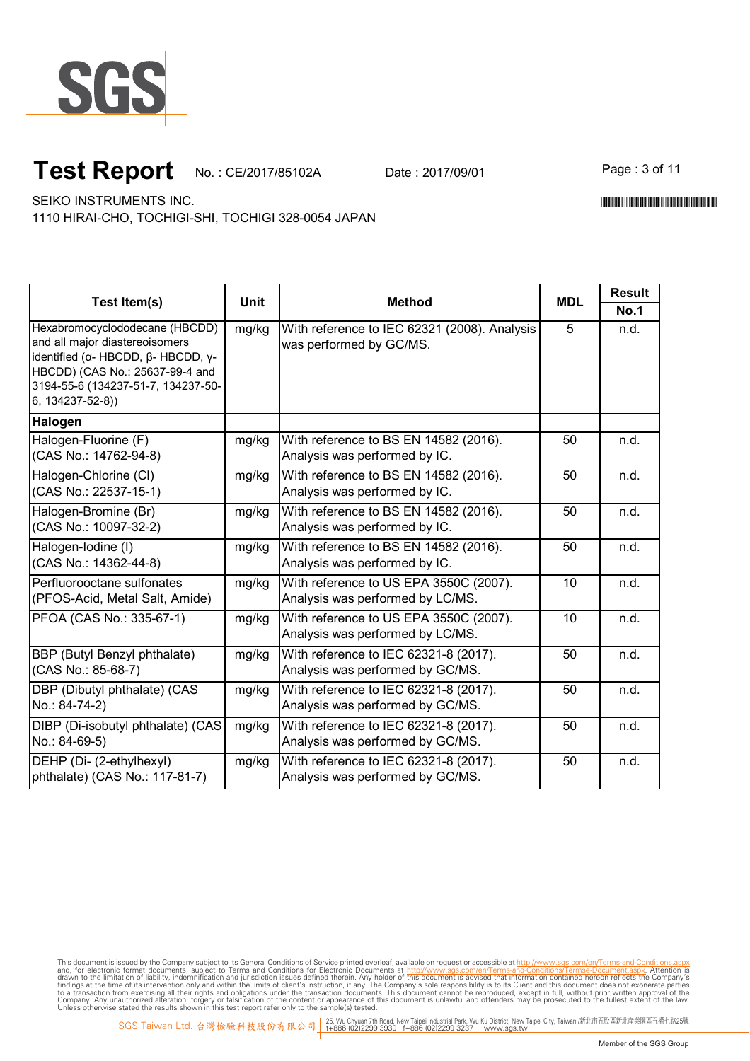

# **Test Report** No.: CE/2017/85102A Date: 2017/09/01 Page : 3 of 11

\*CE/2017/85102A\*CE/2017/85102A\*CE/2017/85102A\*CE/2017

SEIKO INSTRUMENTS INC.

1110 HIRAI-CHO, TOCHIGI-SHI, TOCHIGI 328-0054 JAPAN

|                                                                                                                                                                                                          |       |                                                                            | <b>MDL</b> | <b>Result</b> |
|----------------------------------------------------------------------------------------------------------------------------------------------------------------------------------------------------------|-------|----------------------------------------------------------------------------|------------|---------------|
| Test Item(s)                                                                                                                                                                                             | Unit  | <b>Method</b>                                                              |            | <b>No.1</b>   |
| Hexabromocyclododecane (HBCDD)<br>and all major diastereoisomers<br>identified (α- HBCDD, β- HBCDD, γ-<br>HBCDD) (CAS No.: 25637-99-4 and<br>3194-55-6 (134237-51-7, 134237-50-<br>$6, 134237 - 52 - 8)$ | mg/kg | With reference to IEC 62321 (2008). Analysis<br>was performed by GC/MS.    | 5          | n.d.          |
| Halogen                                                                                                                                                                                                  |       |                                                                            |            |               |
| Halogen-Fluorine (F)<br>(CAS No.: 14762-94-8)                                                                                                                                                            | mg/kg | With reference to BS EN 14582 (2016).<br>Analysis was performed by IC.     | 50         | n.d.          |
| Halogen-Chlorine (CI)<br>(CAS No.: 22537-15-1)                                                                                                                                                           | mg/kg | With reference to BS EN 14582 (2016).<br>Analysis was performed by IC.     | 50         | n.d.          |
| Halogen-Bromine (Br)<br>(CAS No.: 10097-32-2)                                                                                                                                                            | mg/kg | With reference to BS EN 14582 (2016).<br>Analysis was performed by IC.     | 50         | n.d.          |
| Halogen-Iodine (I)<br>(CAS No.: 14362-44-8)                                                                                                                                                              | mg/kg | With reference to BS EN 14582 (2016).<br>Analysis was performed by IC.     | 50         | n.d.          |
| Perfluorooctane sulfonates<br>(PFOS-Acid, Metal Salt, Amide)                                                                                                                                             | mg/kg | With reference to US EPA 3550C (2007).<br>Analysis was performed by LC/MS. | 10         | n.d.          |
| PFOA (CAS No.: 335-67-1)                                                                                                                                                                                 | mg/kg | With reference to US EPA 3550C (2007).<br>Analysis was performed by LC/MS. | 10         | n.d.          |
| <b>BBP</b> (Butyl Benzyl phthalate)<br>(CAS No.: 85-68-7)                                                                                                                                                | mg/kg | With reference to IEC 62321-8 (2017).<br>Analysis was performed by GC/MS.  | 50         | n.d.          |
| DBP (Dibutyl phthalate) (CAS<br>No.: 84-74-2)                                                                                                                                                            | mg/kg | With reference to IEC 62321-8 (2017).<br>Analysis was performed by GC/MS.  | 50         | n.d.          |
| DIBP (Di-isobutyl phthalate) (CAS<br>No.: 84-69-5)                                                                                                                                                       | mg/kg | With reference to IEC 62321-8 (2017).<br>Analysis was performed by GC/MS.  | 50         | n.d.          |
| DEHP (Di- (2-ethylhexyl)<br>phthalate) (CAS No.: 117-81-7)                                                                                                                                               | mg/kg | With reference to IEC 62321-8 (2017).<br>Analysis was performed by GC/MS.  | 50         | n.d.          |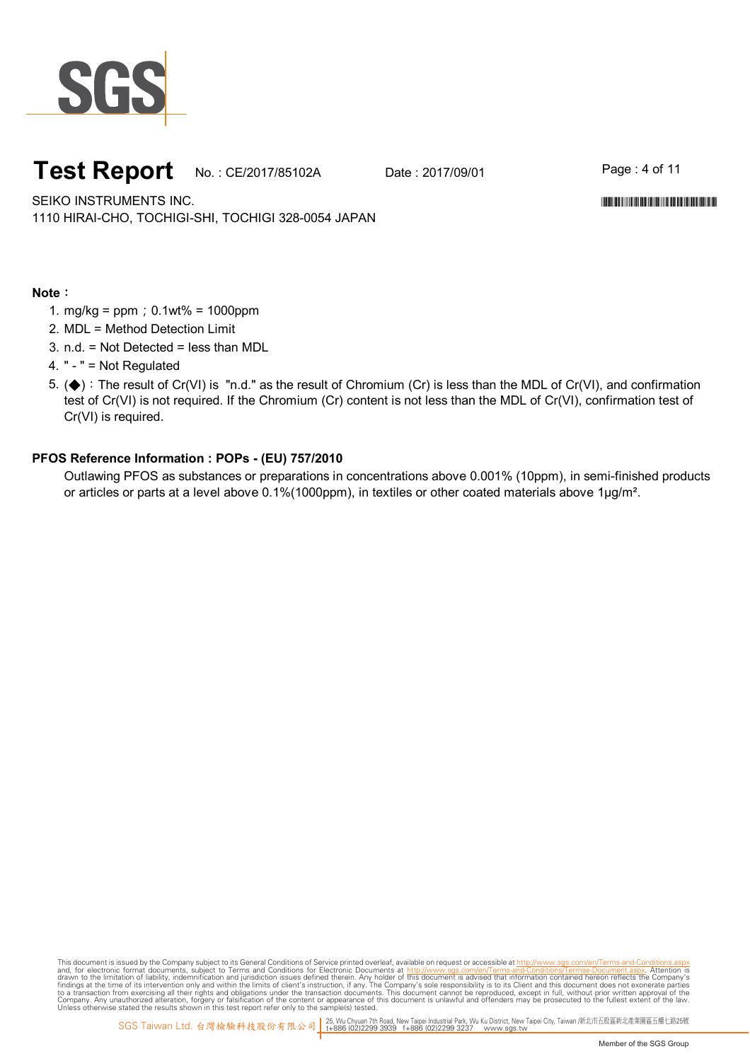

## **Test Report** No.: CE/2017/85102A Date: 2017/09/01 Page: 4 of 11

SEIKO INSTRUMENTS INC. 1110 HIRAI-CHO, TOCHIGI-SHI, TOCHIGI 328-0054 JAPAN \*CE/2017/85102A\*CE/2017/85102A\*CE/2017/85102A\*CE/2017

### **Note**:

- 1. mg/kg = ppm;0.1wt% = 1000ppm
- 2. MDL = Method Detection Limit
- 3. n.d. = Not Detected = less than MDL
- 4. " " = Not Regulated
- 5. (◆):The result of Cr(VI) is "n.d." as the result of Chromium (Cr) is less than the MDL of Cr(VI), and confirmation test of Cr(VI) is not required. If the Chromium (Cr) content is not less than the MDL of Cr(VI), confirmation test of Cr(VI) is required.

### **PFOS Reference Information : POPs - (EU) 757/2010**

Outlawing PFOS as substances or preparations in concentrations above 0.001% (10ppm), in semi-finished products or articles or parts at a level above 0.1%(1000ppm), in textiles or other coated materials above 1µg/m<sup>2</sup>.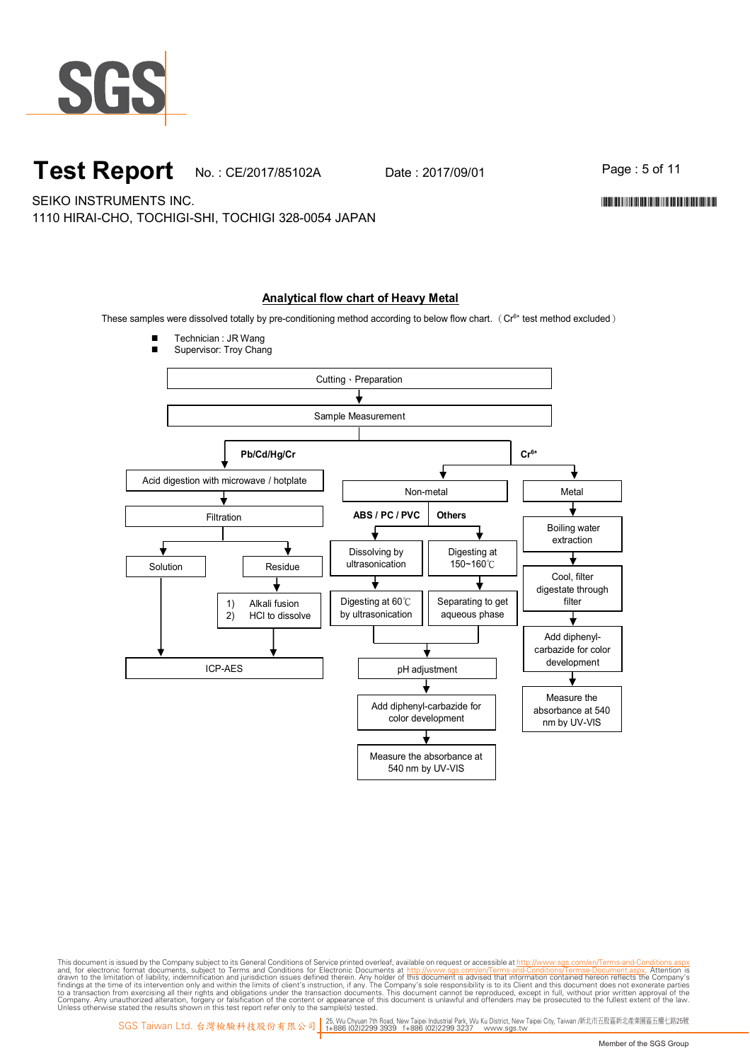

## **Test Report** No.: CE/2017/85102A Date: 2017/09/01 Page: 5 of 11

\*CE/2017/85102A\*CE/2017/85102A\*CE/2017/85102A\*CE/2017

SEIKO INSTRUMENTS INC.

1110 HIRAI-CHO, TOCHIGI-SHI, TOCHIGI 328-0054 JAPAN

### **Analytical flow chart of Heavy Metal**

These samples were dissolved totally by pre-conditioning method according to below flow chart. ( $Cr<sup>6+</sup>$  test method excluded)

Technician : JR Wang



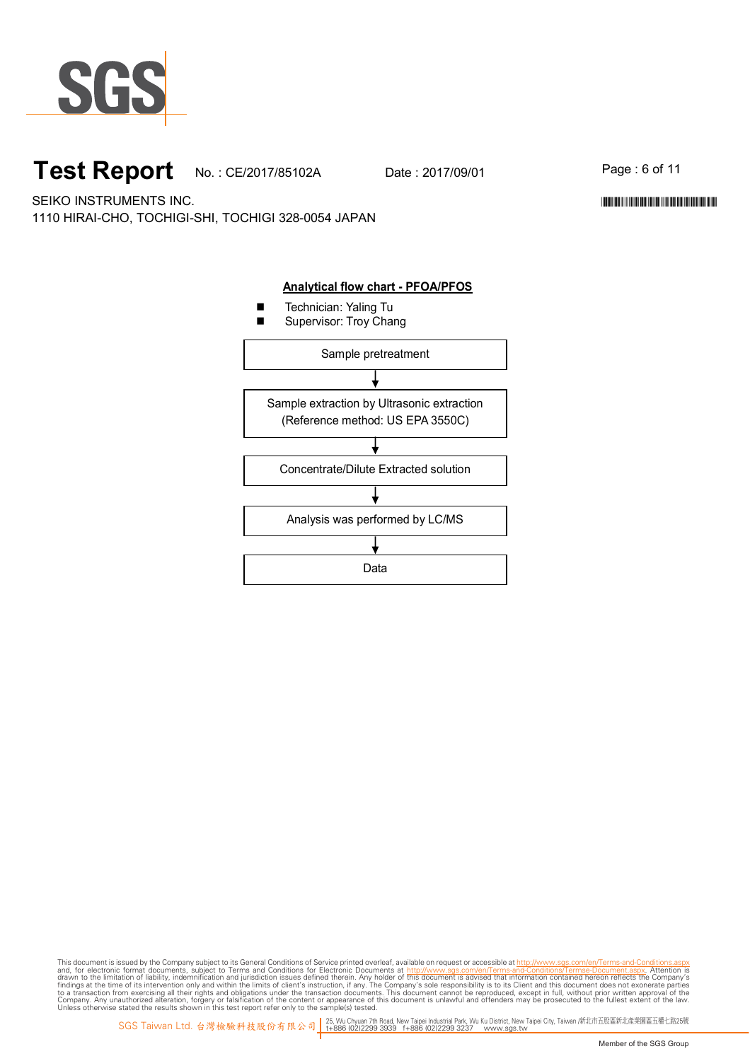

# **Test Report** No.: CE/2017/85102A Date: 2017/09/01 Page: 6 of 11

\*CE/2017/85102A\*CE/2017/85102A\*CE/2017/85102A\*CE/2017

SEIKO INSTRUMENTS INC. 1110 HIRAI-CHO, TOCHIGI-SHI, TOCHIGI 328-0054 JAPAN



#### **Analytical flow chart - PFOA/PFOS**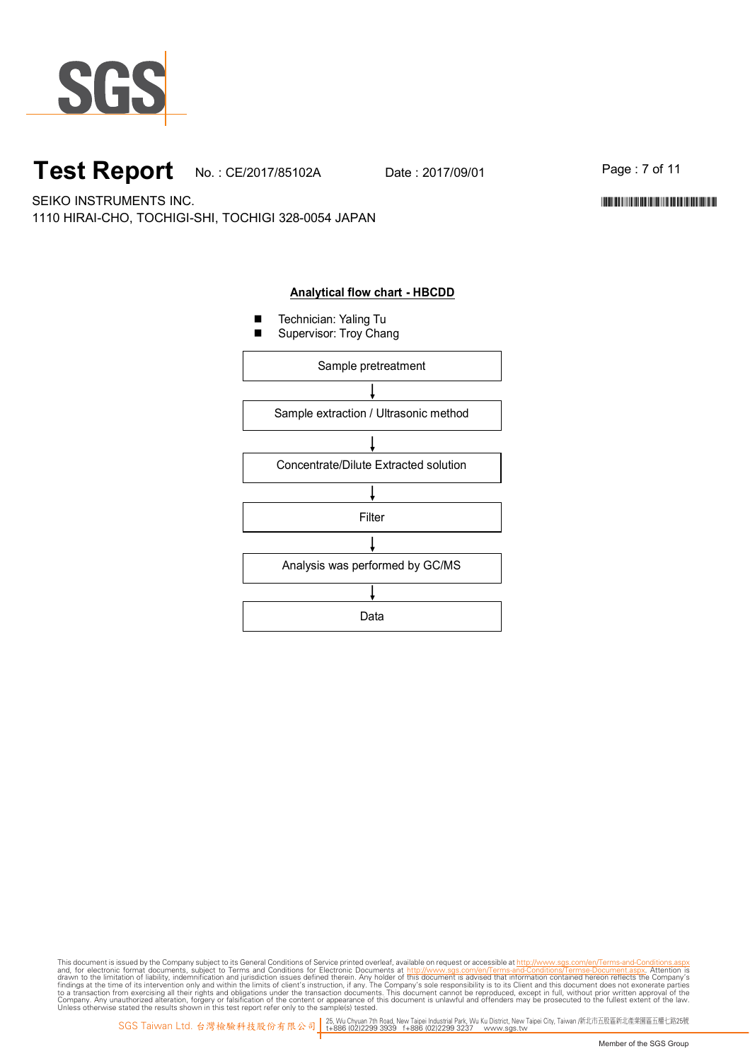

# **Test Report** No.: CE/2017/85102A Date: 2017/09/01 Page: 7 of 11

\*CE/2017/85102A\*CE/2017/85102A\*CE/2017/85102A\*CE/2017

SEIKO INSTRUMENTS INC. 1110 HIRAI-CHO, TOCHIGI-SHI, TOCHIGI 328-0054 JAPAN

## **Analytical flow chart - HBCDD**

- Technician: Yaling Tu
- Supervisor: Troy Chang

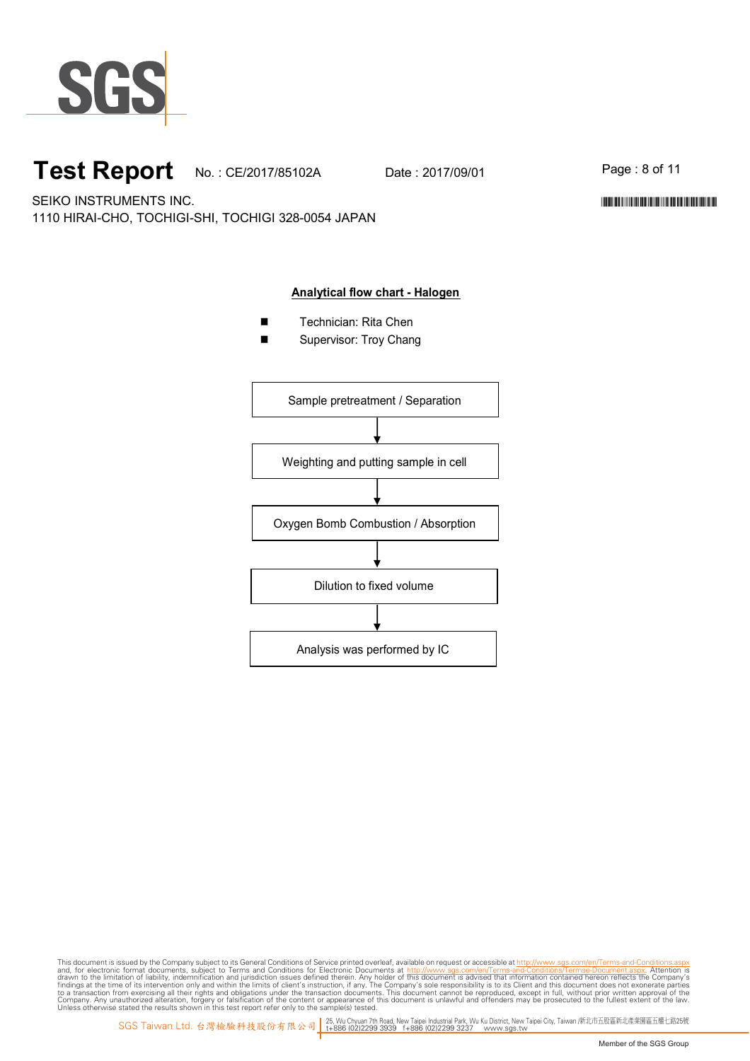

# **Test Report** No.: CE/2017/85102A Date: 2017/09/01 Page: 8 of 11

\*CE/2017/85102A\*CE/2017/85102A\*CE/2017/85102A\*CE/2017

SEIKO INSTRUMENTS INC. 1110 HIRAI-CHO, TOCHIGI-SHI, TOCHIGI 328-0054 JAPAN

### **Analytical flow chart - Halogen**

- Technician: Rita Chen
- Supervisor: Troy Chang

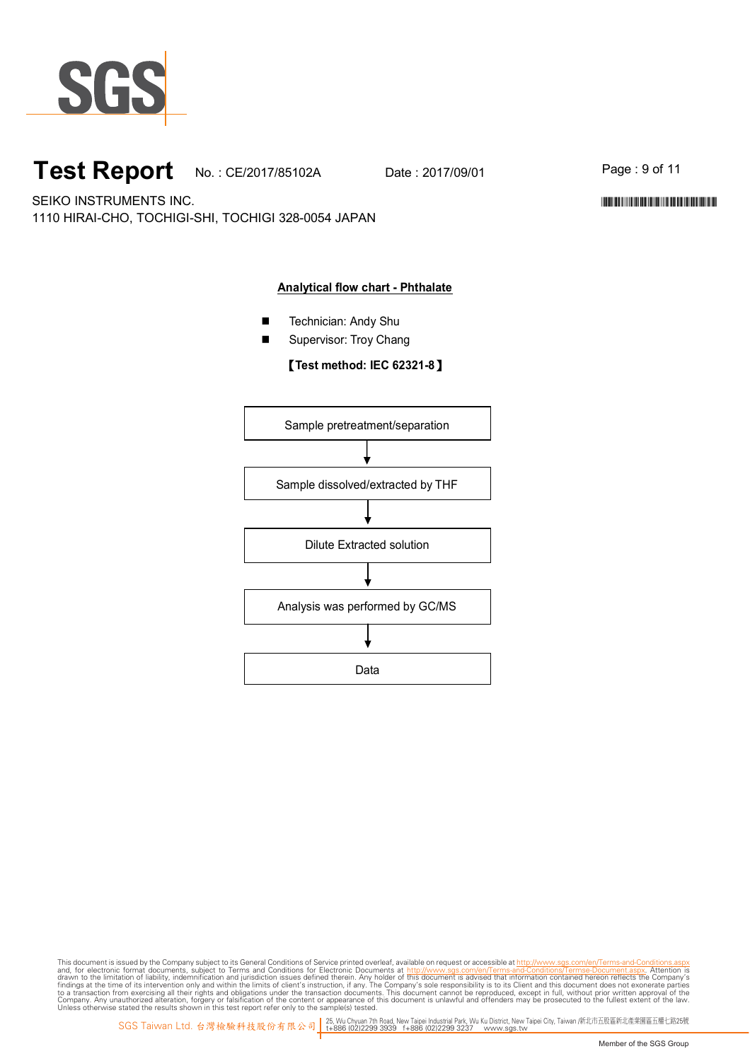

# **Test Report** No.: CE/2017/85102A Date: 2017/09/01 Page: 9 of 11

\*CE/2017/85102A\*CE/2017/85102A\*CE/2017/85102A\*CE/2017

SEIKO INSTRUMENTS INC. 1110 HIRAI-CHO, TOCHIGI-SHI, TOCHIGI 328-0054 JAPAN

### **Analytical flow chart - Phthalate**

- Technician: Andy Shu
- Supervisor: Troy Chang

【**Test method: IEC 62321-8**】

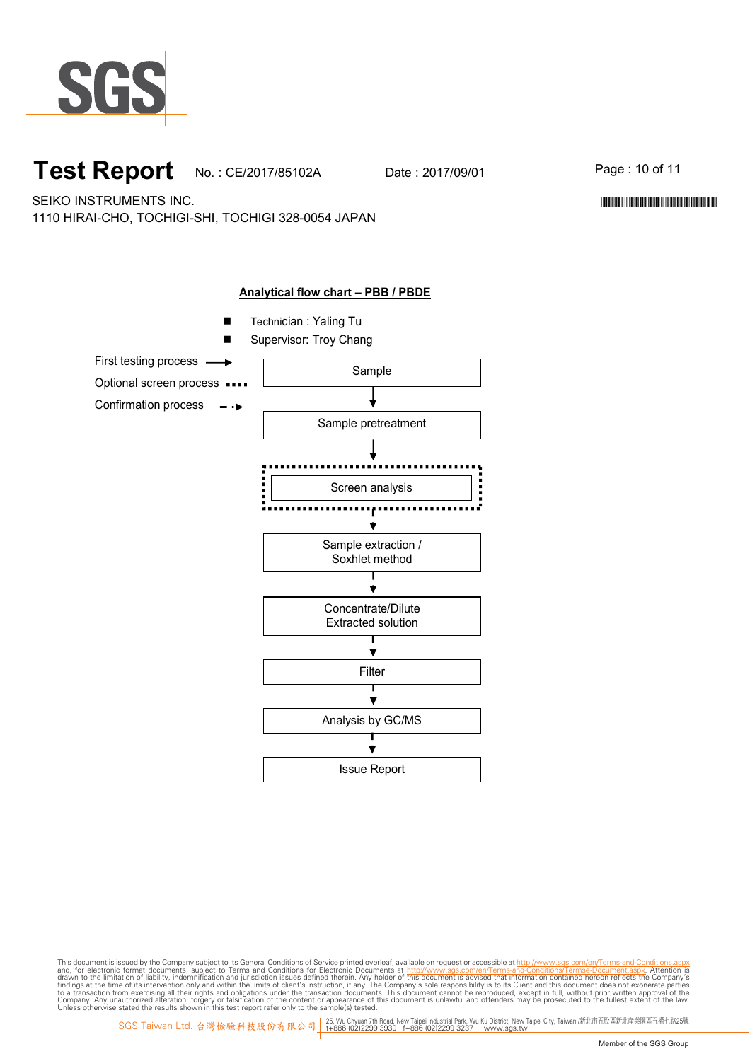

# **Test Report** No.: CE/2017/85102A Date: 2017/09/01 Page: 10 of 11

\*CE/2017/85102A\*CE/2017/85102A\*CE/2017/85102A\*CE/2017

SEIKO INSTRUMENTS INC. 1110 HIRAI-CHO, TOCHIGI-SHI, TOCHIGI 328-0054 JAPAN

> **Analytical flow chart – PBB / PBDE** ■ Technician : Yaling Tu Supervisor: Troy Chang First testing process Sample Optional screen process .... Confirmation process  $\rightarrow$ Sample pretreatment Screen analysis ................................ ÷ Sample extraction / Soxhlet method  $\overline{\mathbf{v}}$ Concentrate/Dilute Extracted solution  $\blacktriangledown$ Filter┱ Ý Analysis by GC/MS Ý Issue Report